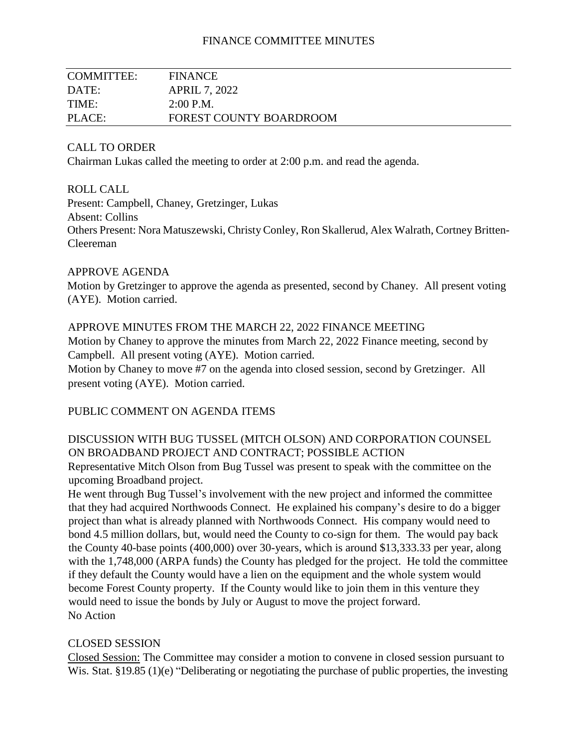### FINANCE COMMITTEE MINUTES

| <b>COMMITTEE:</b> | <b>FINANCE</b>                 |
|-------------------|--------------------------------|
| DATE:             | <b>APRIL 7, 2022</b>           |
| TIME:             | 2:00 P.M.                      |
| PLACE:            | <b>FOREST COUNTY BOARDROOM</b> |

#### CALL TO ORDER

Chairman Lukas called the meeting to order at 2:00 p.m. and read the agenda.

#### ROLL CALL

Present: Campbell, Chaney, Gretzinger, Lukas Absent: Collins Others Present: Nora Matuszewski, Christy Conley, Ron Skallerud, Alex Walrath, Cortney Britten-Cleereman

#### APPROVE AGENDA

Motion by Gretzinger to approve the agenda as presented, second by Chaney. All present voting (AYE). Motion carried.

#### APPROVE MINUTES FROM THE MARCH 22, 2022 FINANCE MEETING

Motion by Chaney to approve the minutes from March 22, 2022 Finance meeting, second by Campbell. All present voting (AYE). Motion carried.

Motion by Chaney to move #7 on the agenda into closed session, second by Gretzinger. All present voting (AYE). Motion carried.

### PUBLIC COMMENT ON AGENDA ITEMS

# DISCUSSION WITH BUG TUSSEL (MITCH OLSON) AND CORPORATION COUNSEL ON BROADBAND PROJECT AND CONTRACT; POSSIBLE ACTION

Representative Mitch Olson from Bug Tussel was present to speak with the committee on the upcoming Broadband project.

He went through Bug Tussel's involvement with the new project and informed the committee that they had acquired Northwoods Connect. He explained his company's desire to do a bigger project than what is already planned with Northwoods Connect. His company would need to bond 4.5 million dollars, but, would need the County to co-sign for them. The would pay back the County 40-base points (400,000) over 30-years, which is around \$13,333.33 per year, along with the 1,748,000 (ARPA funds) the County has pledged for the project. He told the committee if they default the County would have a lien on the equipment and the whole system would become Forest County property. If the County would like to join them in this venture they would need to issue the bonds by July or August to move the project forward. No Action

### CLOSED SESSION

Closed Session: The Committee may consider a motion to convene in closed session pursuant to Wis. Stat. §19.85 (1)(e) "Deliberating or negotiating the purchase of public properties, the investing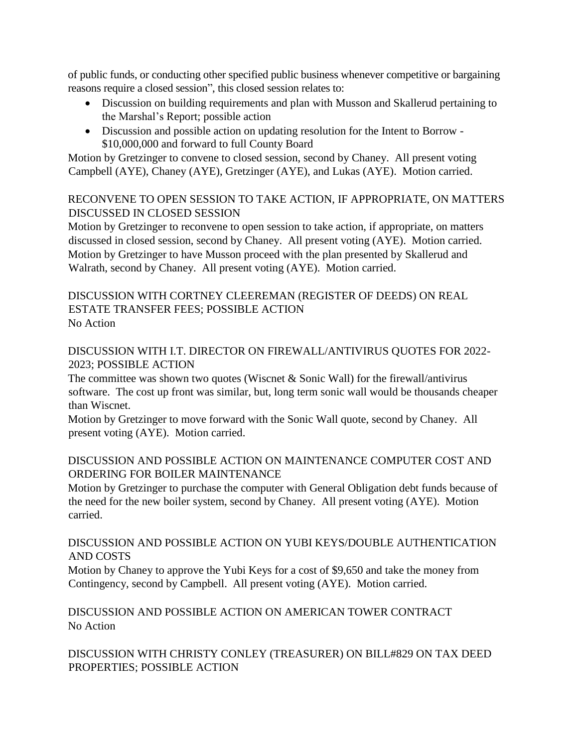of public funds, or conducting other specified public business whenever competitive or bargaining reasons require a closed session", this closed session relates to:

- Discussion on building requirements and plan with Musson and Skallerud pertaining to the Marshal's Report; possible action
- Discussion and possible action on updating resolution for the Intent to Borrow \$10,000,000 and forward to full County Board

Motion by Gretzinger to convene to closed session, second by Chaney. All present voting Campbell (AYE), Chaney (AYE), Gretzinger (AYE), and Lukas (AYE). Motion carried.

## RECONVENE TO OPEN SESSION TO TAKE ACTION, IF APPROPRIATE, ON MATTERS DISCUSSED IN CLOSED SESSION

Motion by Gretzinger to reconvene to open session to take action, if appropriate, on matters discussed in closed session, second by Chaney. All present voting (AYE). Motion carried. Motion by Gretzinger to have Musson proceed with the plan presented by Skallerud and Walrath, second by Chaney. All present voting (AYE). Motion carried.

# DISCUSSION WITH CORTNEY CLEEREMAN (REGISTER OF DEEDS) ON REAL ESTATE TRANSFER FEES; POSSIBLE ACTION No Action

# DISCUSSION WITH I.T. DIRECTOR ON FIREWALL/ANTIVIRUS QUOTES FOR 2022- 2023; POSSIBLE ACTION

The committee was shown two quotes (Wiscnet & Sonic Wall) for the firewall/antivirus software. The cost up front was similar, but, long term sonic wall would be thousands cheaper than Wiscnet.

Motion by Gretzinger to move forward with the Sonic Wall quote, second by Chaney. All present voting (AYE). Motion carried.

# DISCUSSION AND POSSIBLE ACTION ON MAINTENANCE COMPUTER COST AND ORDERING FOR BOILER MAINTENANCE

Motion by Gretzinger to purchase the computer with General Obligation debt funds because of the need for the new boiler system, second by Chaney. All present voting (AYE). Motion carried.

# DISCUSSION AND POSSIBLE ACTION ON YUBI KEYS/DOUBLE AUTHENTICATION AND COSTS

Motion by Chaney to approve the Yubi Keys for a cost of \$9,650 and take the money from Contingency, second by Campbell. All present voting (AYE). Motion carried.

DISCUSSION AND POSSIBLE ACTION ON AMERICAN TOWER CONTRACT No Action

DISCUSSION WITH CHRISTY CONLEY (TREASURER) ON BILL#829 ON TAX DEED PROPERTIES; POSSIBLE ACTION